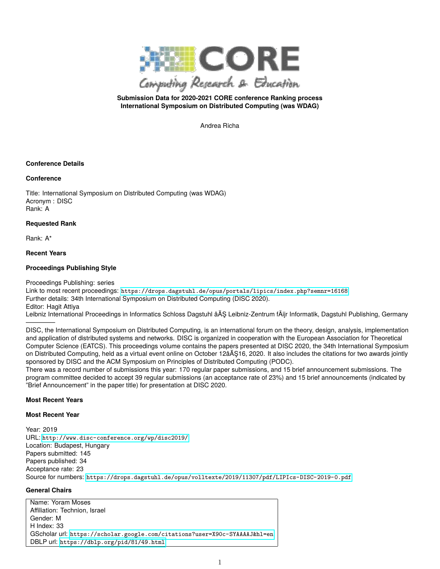

# **Submission Data for 2020-2021 CORE conference Ranking process International Symposium on Distributed Computing (was WDAG)**

Andrea Richa

## **Conference Details**

#### **Conference**

Title: International Symposium on Distributed Computing (was WDAG) Acronym : DISC Rank: A

#### **Requested Rank**

Rank: A\*

# **Recent Years**

#### **Proceedings Publishing Style**

Proceedings Publishing: series

Link to most recent proceedings: <https://drops.dagstuhl.de/opus/portals/lipics/index.php?semnr=16168> Further details: 34th International Symposium on Distributed Computing (DISC 2020). Editor: Hagit Attiya Leibniz International Proceedings in Informatics Schloss Dagstuhl âĂŞ Leibniz-Zentrum fÃijr Informatik, Dagstuhl Publishing, Germany

————– DISC, the International Symposium on Distributed Computing, is an international forum on the theory, design, analysis, implementation and application of distributed systems and networks. DISC is organized in cooperation with the European Association for Theoretical Computer Science (EATCS). This proceedings volume contains the papers presented at DISC 2020, the 34th International Symposium on Distributed Computing, held as a virtual event online on October 12âĂŞ16, 2020. It also includes the citations for two awards jointly sponsored by DISC and the ACM Symposium on Principles of Distributed Computing (PODC).

There was a record number of submissions this year: 170 regular paper submissions, and 15 brief announcement submissions. The program committee decided to accept 39 regular submissions (an acceptance rate of 23%) and 15 brief announcements (indicated by "Brief Announcement" in the paper title) for presentation at DISC 2020.

#### **Most Recent Years**

#### **Most Recent Year**

Year: 2019 URL: <http://www.disc-conference.org/wp/disc2019/> Location: Budapest, Hungary Papers submitted: 145 Papers published: 34 Acceptance rate: 23 Source for numbers: <https://drops.dagstuhl.de/opus/volltexte/2019/11307/pdf/LIPIcs-DISC-2019-0.pdf>

# **General Chairs**

Name: Yoram Moses Affiliation: Technion, Israel Gender: M H Index: 33 GScholar url: <https://scholar.google.com/citations?user=X90c-SYAAAAJ&hl=en> DBLP url: <https://dblp.org/pid/81/49.html>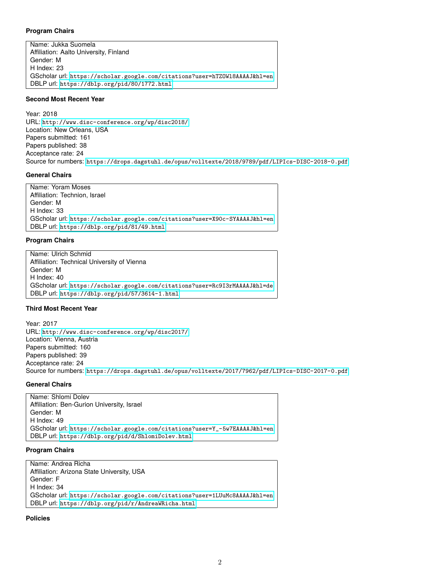#### **Program Chairs**

Name: Jukka Suomela Affiliation: Aalto University, Finland Gender: M H Index: 23 GScholar url: <https://scholar.google.com/citations?user=hTZOWl8AAAAJ&hl=en> DBLP url: <https://dblp.org/pid/80/1772.html>

# **Second Most Recent Year**

Year: 2018 URL: <http://www.disc-conference.org/wp/disc2018/> Location: New Orleans, USA Papers submitted: 161 Papers published: 38 Acceptance rate: 24 Source for numbers: <https://drops.dagstuhl.de/opus/volltexte/2018/9789/pdf/LIPIcs-DISC-2018-0.pdf>

#### **General Chairs**

Name: Yoram Moses Affiliation: Technion, Israel Gender: M H Index: 33 GScholar url: <https://scholar.google.com/citations?user=X90c-SYAAAAJ&hl=en> DBLP url: <https://dblp.org/pid/81/49.html>

#### **Program Chairs**

Name: Ulrich Schmid Affiliation: Technical University of Vienna Gender: M H Index: 40 GScholar url: <https://scholar.google.com/citations?user=Rc9I3rMAAAAJ&hl=de> DBLP url: <https://dblp.org/pid/57/3614-1.html>

# **Third Most Recent Year**

Year: 2017 URL: <http://www.disc-conference.org/wp/disc2017/> Location: Vienna, Austria Papers submitted: 160 Papers published: 39 Acceptance rate: 24 Source for numbers: <https://drops.dagstuhl.de/opus/volltexte/2017/7962/pdf/LIPIcs-DISC-2017-0.pdf>

# **General Chairs**

Name: Shlomi Dolev Affiliation: Ben-Gurion University, Israel Gender: M H Index: 49 GScholar url: [https://scholar.google.com/citations?user=Y\\_-5w7EAAAAJ&hl=en](https://scholar.google.com/citations?user=Y_-5w7EAAAAJ&hl=en) DBLP url: <https://dblp.org/pid/d/ShlomiDolev.html>

#### **Program Chairs**

Name: Andrea Richa Affiliation: Arizona State University, USA Gender: F H Index: 34 GScholar url: <https://scholar.google.com/citations?user=1LUuMc8AAAAJ&hl=en> DBLP url: <https://dblp.org/pid/r/AndreaWRicha.html>

**Policies**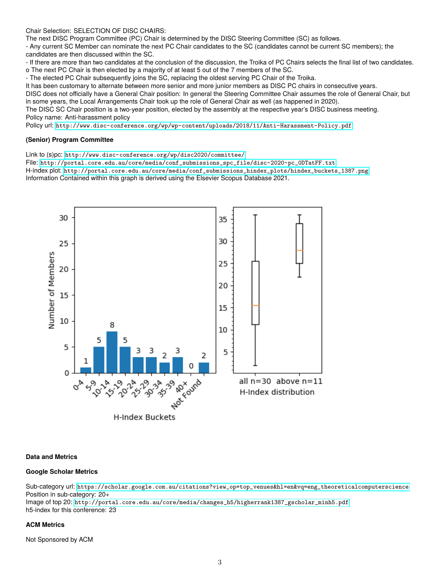Chair Selection: SELECTION OF DISC CHAIRS:

The next DISC Program Committee (PC) Chair is determined by the DISC Steering Committee (SC) as follows.

- Any current SC Member can nominate the next PC Chair candidates to the SC (candidates cannot be current SC members); the candidates are then discussed within the SC.

- If there are more than two candidates at the conclusion of the discussion, the Troika of PC Chairs selects the final list of two candidates. o The next PC Chair is then elected by a majority of at least 5 out of the 7 members of the SC.

- The elected PC Chair subsequently joins the SC, replacing the oldest serving PC Chair of the Troika.

It has been customary to alternate between more senior and more junior members as DISC PC chairs in consecutive years.

DISC does not officially have a General Chair position: In general the Steering Committee Chair assumes the role of General Chair, but in some years, the Local Arrangements Chair took up the role of General Chair as well (as happened in 2020).

The DISC SC Chair position is a two-year position, elected by the assembly at the respective year's DISC business meeting. Policy name: Anti-harassment policy

Policy url: <http://www.disc-conference.org/wp/wp-content/uploads/2018/11/Anti-Harassment-Policy.pdf>

## **(Senior) Program Committee**

Link to (s)pc: <http://www.disc-conference.org/wp/disc2020/committee/>

File: [http://portal.core.edu.au/core/media/conf\\_submissions\\_spc\\_file/disc-2020-pc\\_0DTatFF.txt](http://portal.core.edu.au/core/media/conf_submissions_spc_file/disc-2020-pc_0DTatFF.txt) H-index plot: [http://portal.core.edu.au/core/media/conf\\_submissions\\_hindex\\_plots/hindex\\_buckets\\_1387.png](http://portal.core.edu.au/core/media/conf_submissions_hindex_plots/hindex_buckets_1387.png) Information Contained within this graph is derived using the Elsevier Scopus Database 2021.



#### **Data and Metrics**

#### **Google Scholar Metrics**

Sub-category url: [https://scholar.google.com.au/citations?view\\_op=top\\_venues&hl=en&vq=eng\\_theoreticalcomputerscience](https://scholar.google.com.au/citations?view_op=top_venues&hl=en&vq=eng_theoreticalcomputerscience) Position in sub-category: 20+

Image of top 20: [http://portal.core.edu.au/core/media/changes\\_h5/higherrank1387\\_gscholar\\_minh5.pdf](http://portal.core.edu.au/core/media/changes_h5/higherrank1387_gscholar_minh5.pdf) h5-index for this conference: 23

#### **ACM Metrics**

Not Sponsored by ACM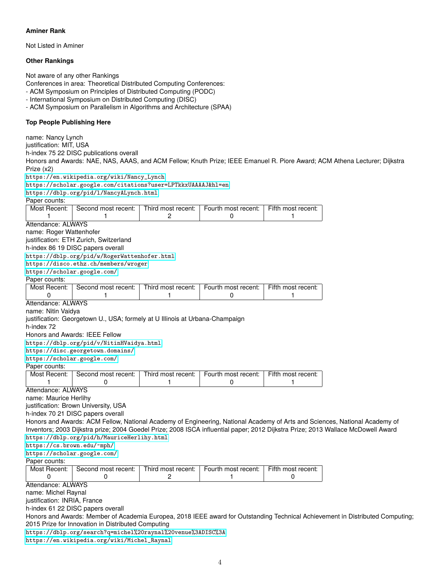# **Aminer Rank**

Not Listed in Aminer

## **Other Rankings**

Not aware of any other Rankings

Conferences in area: Theoretical Distributed Computing Conferences:

- ACM Symposium on Principles of Distributed Computing (PODC)

- International Symposium on Distributed Computing (DISC)

- ACM Symposium on Parallelism in Algorithms and Architecture (SPAA)

## **Top People Publishing Here**

name: Nancy Lynch justification: MIT, USA h-index 75 22 DISC publications overall Honors and Awards: NAE, NAS, AAAS, and ACM Fellow; Knuth Prize; IEEE Emanuel R. Piore Award; ACM Athena Lecturer; Dijkstra Prize (x2) [https://en.wikipedia.org/wiki/Nancy\\_Lynch](https://en.wikipedia.org/wiki/Nancy_Lynch ) [https://scholar.google.com/citations?user=LPTkkxUAAAAJ&hl=en](https://scholar.google.com/citations?user=LPTkkxUAAAAJ&hl=en ) <https://dblp.org/pid/l/NancyALynch.html> Paper counts: Most Recent: Second most recent: Third most recent: Fourth most recent: Fifth most recent: 1 | 2 | 0 | 1 Attendance: ALWAYS name: Roger Wattenhofer justification: ETH Zurich, Switzerland h-index 86 19 DISC papers overall [https://dblp.org/pid/w/RogerWattenhofer.html](https://dblp.org/pid/w/RogerWattenhofer.html ) [https://disco.ethz.ch/members/wroger](https://disco.ethz.ch/members/wroger ) <https://scholar.google.com/> Paper counts: Most Recent: Second most recent: Third most recent: Fourth most recent: Fifth most recent: 0 | 1 | 1 | 0 | 1 Attendance: ALWAYS name: Nitin Vaidya justification: Georgetown U., USA; formely at U Illinois at Urbana-Champaign h-index 72 Honors and Awards: IEEE Fellow [https://dblp.org/pid/v/NitinHVaidya.html](https://dblp.org/pid/v/NitinHVaidya.html ) [https://disc.georgetown.domains/](https://disc.georgetown.domains/ ) <https://scholar.google.com/> Paper counts: Most Recent: Second most recent: Third most recent: Fourth most recent: Fifth most recent: 1 | 0 | 1 | 0 | 1 Attendance: ALWAYS name: Maurice Herlihy justification: Brown University, USA h-index 70 21 DISC papers overall Honors and Awards: ACM Fellow, National Academy of Engineering, National Academy of Arts and Sciences, National Academy of Inventors; 2003 Dijkstra prize; 2004 Goedel Prize; 2008 ISCA influential paper; 2012 Dijkstra Prize; 2013 Wallace McDowell Award [https://dblp.org/pid/h/MauriceHerlihy.html](https://dblp.org/pid/h/MauriceHerlihy.html ) [https://cs.brown.edu/~mph/](https://cs.brown.edu/~mph/ ) <https://scholar.google.com/> Paper counts: Most Recent: Second most recent: Third most recent: Fourth most recent: Fifth most recent: 0 | 0 | 2 | 1 | 0 Attendance: ALWAYS name: Michel Raynal justification: INRIA, France h-index 61 22 DISC papers overall Honors and Awards: Member of Academia Europea, 2018 IEEE award for Outstanding Technical Achievement in Distributed Computing; 2015 Prize for Innovation in Distributed Computing [https://dblp.org/search?q=michel%20raynal%20venue%3ADISC%3A](https://dblp.org/search?q=michel%20raynal%20venue%3ADISC%3A ) [https://en.wikipedia.org/wiki/Michel\\_Raynal](https://en.wikipedia.org/wiki/Michel_Raynal )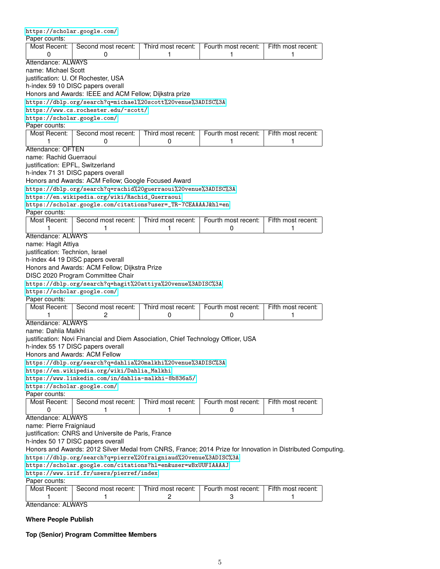| Paper counts:                    |                                                                                                             |                    |                     |                    |
|----------------------------------|-------------------------------------------------------------------------------------------------------------|--------------------|---------------------|--------------------|
| Most Recent:                     | Second most recent:                                                                                         | Third most recent: | Fourth most recent: | Fifth most recent: |
| 0                                | 0                                                                                                           | 1                  | 1                   | 1                  |
| Attendance: ALWAYS               |                                                                                                             |                    |                     |                    |
| name: Michael Scott              |                                                                                                             |                    |                     |                    |
|                                  | justification: U. Of Rochester, USA                                                                         |                    |                     |                    |
|                                  | h-index 59 10 DISC papers overall                                                                           |                    |                     |                    |
|                                  | Honors and Awards: IEEE and ACM Fellow; Dijkstra prize                                                      |                    |                     |                    |
|                                  | https://dblp.org/search?q=michael%20scott%20venue%3ADISC%3A                                                 |                    |                     |                    |
|                                  | https://www.cs.rochester.edu/~scott/                                                                        |                    |                     |                    |
| https://scholar.google.com/      |                                                                                                             |                    |                     |                    |
| Paper counts:                    |                                                                                                             |                    |                     |                    |
| Most Recent:                     | Second most recent:                                                                                         | Third most recent: | Fourth most recent: | Fifth most recent: |
| 1                                | 0                                                                                                           | 0                  | 1                   | 1                  |
| Attendance: OFTEN                |                                                                                                             |                    |                     |                    |
| name: Rachid Guerraoui           |                                                                                                             |                    |                     |                    |
| justification: EPFL, Switzerland |                                                                                                             |                    |                     |                    |
|                                  | h-index 71 31 DISC papers overall                                                                           |                    |                     |                    |
|                                  | Honors and Awards: ACM Fellow; Google Focused Award                                                         |                    |                     |                    |
|                                  | https://dblp.org/search?q=rachid%20guerraoui%20venue%3ADISC%3A                                              |                    |                     |                    |
|                                  | https://en.wikipedia.org/wiki/Rachid_Guerraoui                                                              |                    |                     |                    |
|                                  | https://scholar.google.com/citations?user=_TR-7CEAAAAJ&hl=en                                                |                    |                     |                    |
| Paper counts:                    |                                                                                                             |                    |                     |                    |
| Most Recent:                     | Second most recent:                                                                                         | Third most recent: | Fourth most recent: | Fifth most recent: |
| 1                                | 1                                                                                                           | 1                  | 0                   | 1                  |
| Attendance: ALWAYS               |                                                                                                             |                    |                     |                    |
|                                  |                                                                                                             |                    |                     |                    |
| name: Hagit Attiya               |                                                                                                             |                    |                     |                    |
| justification: Technion, Israel  |                                                                                                             |                    |                     |                    |
|                                  | h-index 44 19 DISC papers overall                                                                           |                    |                     |                    |
|                                  | Honors and Awards: ACM Fellow; Dijkstra Prize                                                               |                    |                     |                    |
|                                  | DISC 2020 Program Committee Chair                                                                           |                    |                     |                    |
|                                  | https://dblp.org/search?q=hagit%20attiya%20venue%3ADISC%3A                                                  |                    |                     |                    |
| https://scholar.google.com/      |                                                                                                             |                    |                     |                    |
| Paper counts:                    |                                                                                                             |                    |                     |                    |
| Most Recent:                     | Second most recent:                                                                                         | Third most recent: | Fourth most recent: | Fifth most recent: |
| 1                                | 2                                                                                                           | 0                  | 0                   | 1                  |
| Attendance: ALWAYS               |                                                                                                             |                    |                     |                    |
| name: Dahlia Malkhi              |                                                                                                             |                    |                     |                    |
|                                  | justification: Novi Financial and Diem Association, Chief Technology Officer, USA                           |                    |                     |                    |
|                                  | h-index 55 17 DISC papers overall                                                                           |                    |                     |                    |
|                                  | Honors and Awards: ACM Fellow                                                                               |                    |                     |                    |
|                                  | https://dblp.org/search?q=dahlia%20malkhi%20venue%3ADISC%3A                                                 |                    |                     |                    |
|                                  | https://en.wikipedia.org/wiki/Dahlia_Malkhi                                                                 |                    |                     |                    |
|                                  | https://www.linkedin.com/in/dahlia-malkhi-8b836a5/                                                          |                    |                     |                    |
| https://scholar.google.com/      |                                                                                                             |                    |                     |                    |
| Paper counts:                    |                                                                                                             |                    |                     |                    |
| Most Recent:                     | Second most recent:                                                                                         | Third most recent: | Fourth most recent: | Fifth most recent: |
| 0                                | 1                                                                                                           | 1                  | 0                   | 1                  |
| Attendance: ALWAYS               |                                                                                                             |                    |                     |                    |
|                                  |                                                                                                             |                    |                     |                    |
| name: Pierre Fraigniaud          |                                                                                                             |                    |                     |                    |
|                                  | justification: CNRS and Universite de Paris, France                                                         |                    |                     |                    |
|                                  | h-index 50 17 DISC papers overall                                                                           |                    |                     |                    |
|                                  | Honors and Awards: 2012 Silver Medal from CNRS, France; 2014 Prize for Innovation in Distributed Computing. |                    |                     |                    |
|                                  | https://dblp.org/search?q=pierre%20fraigniaud%20venue%3ADISC%3A                                             |                    |                     |                    |
|                                  | https://scholar.google.com/citations?hl=en&user=wBxUUFIAAAAJ                                                |                    |                     |                    |
|                                  | https://www.irif.fr/users/pierref/index                                                                     |                    |                     |                    |
| Paper counts:                    |                                                                                                             |                    |                     |                    |
|                                  |                                                                                                             |                    |                     |                    |
| Most Recent:                     | Second most recent:                                                                                         | Third most recent: | Fourth most recent: | Fifth most recent: |

Attendance: ALWAYS

<https://scholar.google.com/>

# **Where People Publish**

**Top (Senior) Program Committee Members**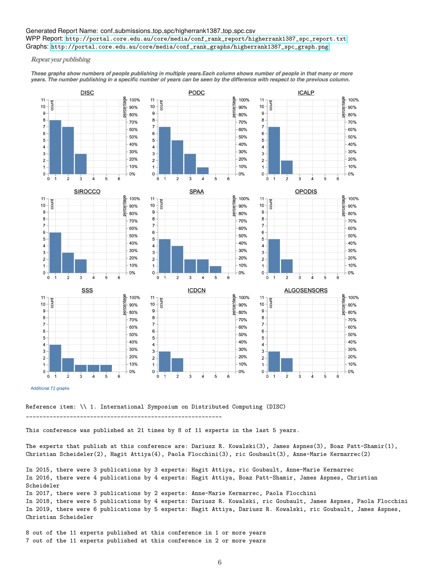#### Generated Report Name: conf\_submissions\_top\_spc/higherrank1387\_top\_spc.csv

WPP Report: [http://portal.core.edu.au/core/media/conf\\_rank\\_report/higherrank1387\\_spc\\_report.txt](http://portal.core.edu.au/core/media/conf_rank_report/higherrank1387_spc_report.txt) Graphs: [http://portal.core.edu.au/core/media/conf\\_rank\\_graphs/higherrank1387\\_spc\\_graph.png](http://portal.core.edu.au/core/media/conf_rank_graphs/higherrank1387_spc_graph.png)

Repeat year publishing

These graphs show numbers of people publishing in multiple years.Each column shows number of people in that many or more years. The number publishing in a specific number of years can be seen by the difference with respect to the previous column.



Additional 72 graphs

Reference item: \\ 1. International Symposium on Distributed Computing (DISC)

\_\_\_\_\_\_\_\_\_\_\_\_\_\_\_\_\_\_\_\_\_\_\_\_\_\_\_\_\_\_\_\_\_\_\_\_\_\_\_\_\_\_\_\_\_\_\_\_\_\_\_\_\_\_\_\_\_\_

This conference was published at 21 times by 8 of 11 experts in the last 5 years.

The experts that publish at this conference are: Dariusz R. Kowalski(3), James Aspnes(3), Boaz Patt-Shamir(1), Christian Scheideler(2), Hagit Attiya(4), Paola Flocchini(3), ric Goubault(3), Anne-Marie Kermarrec(2)

In 2015, there were 3 publications by 3 experts: Hagit Attiya, ric Goubault, Anne-Marie Kermarrec In 2016, there were 4 publications by 4 experts: Hagit Attiya, Boaz Patt-Shamir, James Aspnes, Christian Scheideler In 2017, there were 3 publications by 2 experts: Anne-Marie Kermarrec, Paola Flocchini In 2018, there were 5 publications by 4 experts: Dariusz R. Kowalski, ric Goubault, James Aspnes, Paola Flocchini In 2019, there were 6 publications by 5 experts: Hagit Attiya, Dariusz R. Kowalski, ric Goubault, James Aspnes, Christian Scheideler

8 out of the 11 experts published at this conference in 1 or more years 7 out of the 11 experts published at this conference in 2 or more years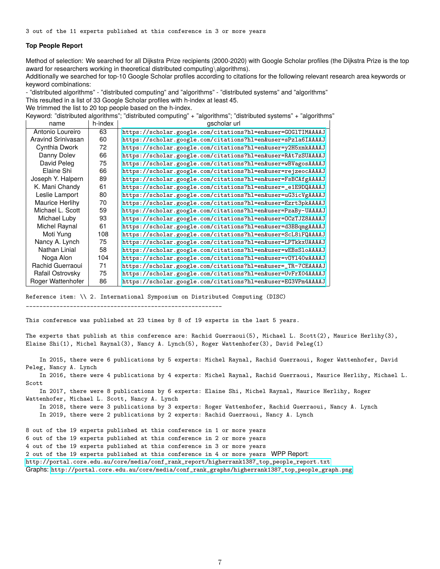#### **Top People Report**

Method of selection: We searched for all Dijkstra Prize recipients (2000-2020) with Google Scholar profiles (the Dijkstra Prize is the top award for researchers working in theoretical distributed computing\algorithms).

Additionally we searched for top-10 Google Scholar profiles according to citations for the following relevant research area keywords or keyword combinations:

- "distributed algorithms" - "distributed computing" and "algorithms" - "distributed systems" and "algorithms"

This resulted in a list of 33 Google Scholar profiles with h-index at least 45.

We trimmed the list to 20 top people based on the h-index.

Keyword: "distributed algorithms"; "distributed computing" + "algorithms"; "distributed systems" + "algorithms"

| name               | h-index | gscholar url                                                 |  |  |
|--------------------|---------|--------------------------------------------------------------|--|--|
| Antonio Loureiro   | 63      | https://scholar.google.com/citations?hl=en&user=GOG1TIMAAAAJ |  |  |
| Aravind Srinivasan | 60      | https://scholar.google.com/citations?hl=en&user=sPzla6IAAAAJ |  |  |
| Cynthia Dwork      | 72      | https://scholar.google.com/citations?hl=en&user=y2H5xmkAAAAJ |  |  |
| Danny Doley        | 66      | https://scholar.google.com/citations?hl=en&user=RAt7zSUAAAAJ |  |  |
| David Peleg        | 75      | https://scholar.google.com/citations?hl=en&user=wBVagosAAAAJ |  |  |
| Elaine Shi         | 66      | https://scholar.google.com/citations?hl=en&user=rejzeocAAAAJ |  |  |
| Joseph Y. Halpern  | 89      | https://scholar.google.com/citations?hl=en&user=FsBCAfgAAAAJ |  |  |
| K. Mani Chandy     | 61      | https://scholar.google.com/citations?hl=en&user=_e1E9DQAAAAJ |  |  |
| Leslie Lamport     | 80      | https://scholar.google.com/citations?hl=en&user=uG3icVgAAAAJ |  |  |
| Maurice Herlihy    | 70      | https://scholar.google.com/citations?hl=en&user=Ezrt3pkAAAAJ |  |  |
| Michael L. Scott   | 59      | https://scholar.google.com/citations?hl=en&user=PzaBy-UAAAAJ |  |  |
| Michael Luby       | 93      | https://scholar.google.com/citations?hl=en&user=OCzTJZ8AAAAJ |  |  |
| Michel Raynal      | 61      | https://scholar.google.com/citations?hl=en&user=d3BBqmgAAAAJ |  |  |
| Moti Yung          | 108     | https://scholar.google.com/citations?hl=en&user=ScL8iFQAAAAJ |  |  |
| Nancy A. Lynch     | 75      | https://scholar.google.com/citations?hl=en&user=LPTkkxUAAAAJ |  |  |
| Nathan Linial      | 58      | https://scholar.google.com/citations?hl=en&user=wEBsSloAAAAJ |  |  |
| Noga Alon          | 104     | https://scholar.google.com/citations?hl=en&user=v0Y140wAAAAJ |  |  |
| Rachid Guerraoui   | 71      | https://scholar.google.com/citations?hl=en&user=_TR-7CEAAAAJ |  |  |
| Rafail Ostrovsky   | 75      | https://scholar.google.com/citations?hl=en&user=UvFrX04AAAAJ |  |  |
| Roger Wattenhofer  | 86      | https://scholar.google.com/citations?hl=en&user=EG3VPm4AAAAJ |  |  |

Reference item: \\ 2. International Symposium on Distributed Computing (DISC)

\_\_\_\_\_\_\_\_\_\_\_\_\_\_\_\_\_\_\_\_\_\_\_\_\_\_\_\_\_\_\_\_\_\_\_\_\_\_\_\_\_\_\_\_\_\_\_\_\_\_\_\_\_\_\_\_\_\_

This conference was published at 23 times by 8 of 19 experts in the last 5 years.

The experts that publish at this conference are: Rachid Guerraoui(5), Michael L. Scott(2), Maurice Herlihy(3), Elaine Shi(1), Michel Raynal(3), Nancy A. Lynch(5), Roger Wattenhofer(3), David Peleg(1)

In 2015, there were 6 publications by 5 experts: Michel Raynal, Rachid Guerraoui, Roger Wattenhofer, David Peleg, Nancy A. Lynch

In 2016, there were 4 publications by 4 experts: Michel Raynal, Rachid Guerraoui, Maurice Herlihy, Michael L. Scott

In 2017, there were 8 publications by 6 experts: Elaine Shi, Michel Raynal, Maurice Herlihy, Roger Wattenhofer, Michael L. Scott, Nancy A. Lynch

In 2018, there were 3 publications by 3 experts: Roger Wattenhofer, Rachid Guerraoui, Nancy A. Lynch In 2019, there were 2 publications by 2 experts: Rachid Guerraoui, Nancy A. Lynch

8 out of the 19 experts published at this conference in 1 or more years

6 out of the 19 experts published at this conference in 2 or more years

4 out of the 19 experts published at this conference in 3 or more years

2 out of the 19 experts published at this conference in 4 or more years WPP Report:

[http://portal.core.edu.au/core/media/conf\\_rank\\_report/higherrank1387\\_top\\_people\\_report.txt](http://portal.core.edu.au/core/media/conf_rank_report/higherrank1387_top_people_report.txt)

Graphs: [http://portal.core.edu.au/core/media/conf\\_rank\\_graphs/higherrank1387\\_top\\_people\\_graph.png](http://portal.core.edu.au/core/media/conf_rank_graphs/higherrank1387_top_people_graph.png)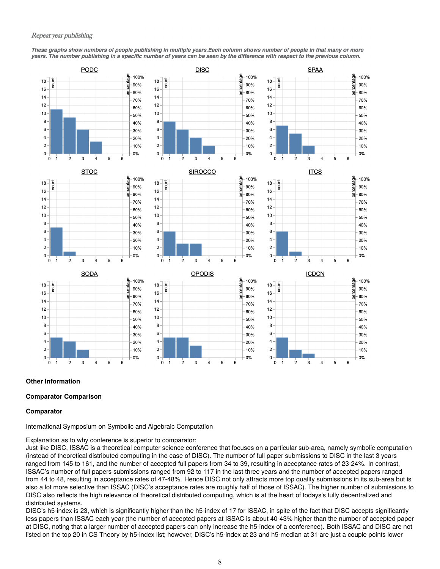These graphs show numbers of people publishing in multiple years.Each column shows number of people in that many or more years. The number publishing in a specific number of years can be seen by the difference with respect to the previous column.



#### **Other Information**

#### **Comparator Comparison**

#### **Comparator**

International Symposium on Symbolic and Algebraic Computation

Explanation as to why conference is superior to comparator:

Just like DISC, ISSAC is a theoretical computer science conference that focuses on a particular sub-area, namely symbolic computation (instead of theoretical distributed computing in the case of DISC). The number of full paper submissions to DISC in the last 3 years ranged from 145 to 161, and the number of accepted full papers from 34 to 39, resulting in acceptance rates of 23-24%. In contrast, ISSAC's number of full papers submissions ranged from 92 to 117 in the last three years and the number of accepted papers ranged from 44 to 48, resulting in acceptance rates of 47-48%. Hence DISC not only attracts more top quality submissions in its sub-area but is also a lot more selective than ISSAC (DISC's acceptance rates are roughly half of those of ISSAC). The higher number of submissions to DISC also reflects the high relevance of theoretical distributed computing, which is at the heart of todays's fully decentralized and distributed systems.

DISC's h5-index is 23, which is significantly higher than the h5-index of 17 for ISSAC, in spite of the fact that DISC accepts significantly less papers than ISSAC each year (the number of accepted papers at ISSAC is about 40-43% higher than the number of accepted paper at DISC, noting that a larger number of accepted papers can only increase the h5-index of a conference). Both ISSAC and DISC are not listed on the top 20 in CS Theory by h5-index list; however, DISC's h5-index at 23 and h5-median at 31 are just a couple points lower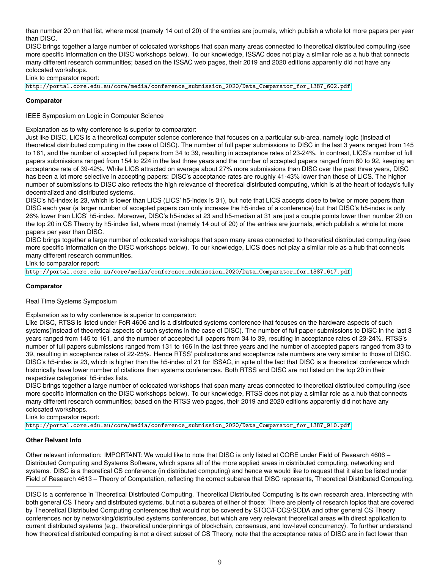than number 20 on that list, where most (namely 14 out of 20) of the entries are journals, which publish a whole lot more papers per year than DISC.

DISC brings together a large number of colocated workshops that span many areas connected to theoretical distributed computing (see more specific information on the DISC workshops below). To our knowledge, ISSAC does not play a similar role as a hub that connects many different research communities; based on the ISSAC web pages, their 2019 and 2020 editions apparently did not have any colocated workshops.

Link to comparator report:

[http://portal.core.edu.au/core/media/conference\\_submission\\_2020/Data\\_Comparator\\_for\\_1387\\_602.pdf](http://portal.core.edu.au/core/media/conference_submission_2020/Data_Comparator_for_1387_602.pdf)

## **Comparator**

IEEE Symposium on Logic in Computer Science

Explanation as to why conference is superior to comparator:

Just like DISC, LICS is a theoretical computer science conference that focuses on a particular sub-area, namely logic (instead of theoretical distributed computing in the case of DISC). The number of full paper submissions to DISC in the last 3 years ranged from 145 to 161, and the number of accepted full papers from 34 to 39, resulting in acceptance rates of 23-24%. In contrast, LICS's number of full papers submissions ranged from 154 to 224 in the last three years and the number of accepted papers ranged from 60 to 92, keeping an acceptance rate of 39-42%. While LICS attracted on average about 27% more submissions than DISC over the past three years, DISC has been a lot more selective in accepting papers: DISC's acceptance rates are roughly 41-43% lower than those of LICS. The higher number of submissions to DISC also reflects the high relevance of theoretical distributed computing, which is at the heart of todays's fully decentralized and distributed systems.

DISC's h5-index is 23, which is lower than LICS (LICS' h5-index is 31), but note that LICS accepts close to twice or more papers than DISC each year (a larger number of accepted papers can only increase the h5-index of a conference) but that DISC's h5-index is only 26% lower than LICS' h5-index. Moreover, DISC's h5-index at 23 and h5-median at 31 are just a couple points lower than number 20 on the top 20 in CS Theory by h5-index list, where most (namely 14 out of 20) of the entries are journals, which publish a whole lot more papers per year than DISC.

DISC brings together a large number of colocated workshops that span many areas connected to theoretical distributed computing (see more specific information on the DISC workshops below). To our knowledge, LICS does not play a similar role as a hub that connects many different research communities.

Link to comparator report:

[http://portal.core.edu.au/core/media/conference\\_submission\\_2020/Data\\_Comparator\\_for\\_1387\\_617.pdf](http://portal.core.edu.au/core/media/conference_submission_2020/Data_Comparator_for_1387_617.pdf)

#### **Comparator**

#### Real Time Systems Symposium

Explanation as to why conference is superior to comparator:

Like DISC, RTSS is listed under FoR 4606 and is a distributed systems conference that focuses on the hardware aspects of such systems(instead of theoretical aspects of such systems in the case of DISC). The number of full paper submissions to DISC in the last 3 years ranged from 145 to 161, and the number of accepted full papers from 34 to 39, resulting in acceptance rates of 23-24%. RTSS's number of full papers submissions ranged from 131 to 166 in the last three years and the number of accepted papers ranged from 33 to 39, resulting in acceptance rates of 22-25%. Hence RTSS' publications and acceptance rate numbers are very similar to those of DISC. DISC's h5-index is 23, which is higher than the h5-index of 21 for ISSAC, in spite of the fact that DISC is a theoretical conference which historically have lower number of citations than systems conferences. Both RTSS and DISC are not listed on the top 20 in their respective categories' h5-index lists.

DISC brings together a large number of colocated workshops that span many areas connected to theoretical distributed computing (see more specific information on the DISC workshops below). To our knowledge, RTSS does not play a similar role as a hub that connects many different research communities; based on the RTSS web pages, their 2019 and 2020 editions apparently did not have any colocated workshops.

Link to comparator report:

[http://portal.core.edu.au/core/media/conference\\_submission\\_2020/Data\\_Comparator\\_for\\_1387\\_910.pdf](http://portal.core.edu.au/core/media/conference_submission_2020/Data_Comparator_for_1387_910.pdf)

#### **Other Relvant Info**

—————–

Other relevant information: IMPORTANT: We would like to note that DISC is only listed at CORE under Field of Research 4606 – Distributed Computing and Systems Software, which spans all of the more applied areas in distributed computing, networking and systems. DISC is a theoretical CS conference (in distributed computing) and hence we would like to request that it also be listed under Field of Research 4613 – Theory of Computation, reflecting the correct subarea that DISC represents, Theoretical Distributed Computing.

DISC is a conference in Theoretical Distributed Computing. Theoretical Distributed Computing is its own research area, intersecting with both general CS Theory and distributed systems, but not a subarea of either of those: There are plenty of research topics that are covered by Theoretical Distributed Computing conferences that would not be covered by STOC/FOCS/SODA and other general CS Theory conferences nor by networking/distributed systems conferences, but which are very relevant theoretical areas with direct application to current distributed systems (e.g., theoretical underpinnings of blockchain, consensus, and low-level concurrency). To further understand how theoretical distributed computing is not a direct subset of CS Theory, note that the acceptance rates of DISC are in fact lower than